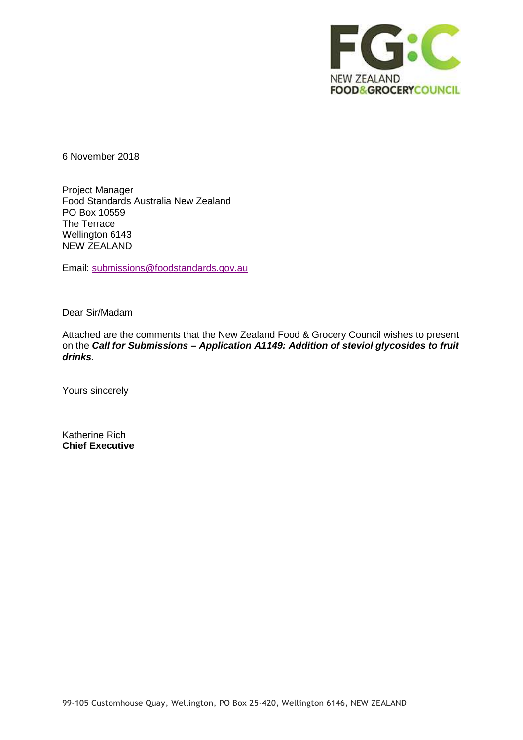

6 November 2018

Project Manager Food Standards Australia New Zealand PO Box 10559 The Terrace Wellington 6143 NEW ZEALAND

Email: [submissions@foodstandards.gov.au](mailto:submissions@foodstandards.gov.au)

Dear Sir/Madam

Attached are the comments that the New Zealand Food & Grocery Council wishes to present on the *Call for Submissions – Application A1149: Addition of steviol glycosides to fruit drinks*.

Yours sincerely

Katherine Rich **Chief Executive**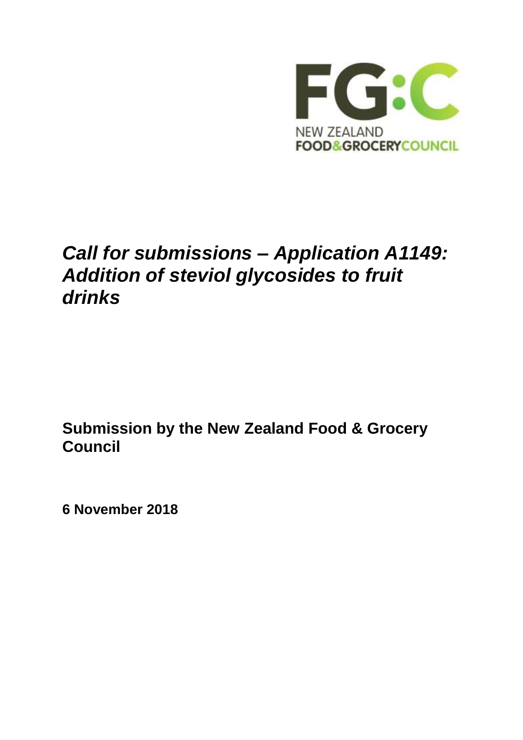

## *Call for submissions – Application A1149: Addition of steviol glycosides to fruit drinks*

**Submission by the New Zealand Food & Grocery Council**

**6 November 2018**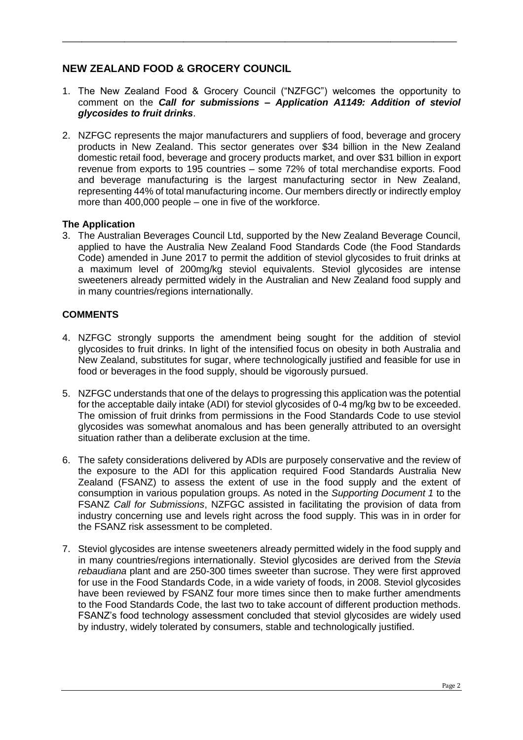## **NEW ZEALAND FOOD & GROCERY COUNCIL**

1. The New Zealand Food & Grocery Council ("NZFGC") welcomes the opportunity to comment on the *Call for submissions – Application A1149: Addition of steviol glycosides to fruit drinks*.

\_\_\_\_\_\_\_\_\_\_\_\_\_\_\_\_\_\_\_\_\_\_\_\_\_\_\_\_\_\_\_\_\_\_\_\_\_\_\_\_\_\_\_\_\_\_\_\_\_\_\_\_\_\_\_\_\_\_\_\_\_\_\_\_\_\_\_\_\_\_\_\_\_\_\_\_\_\_\_\_\_\_\_\_\_\_\_\_\_\_\_\_\_\_\_\_\_\_\_\_\_

2. NZFGC represents the major manufacturers and suppliers of food, beverage and grocery products in New Zealand. This sector generates over \$34 billion in the New Zealand domestic retail food, beverage and grocery products market, and over \$31 billion in export revenue from exports to 195 countries – some 72% of total merchandise exports. Food and beverage manufacturing is the largest manufacturing sector in New Zealand, representing 44% of total manufacturing income. Our members directly or indirectly employ more than 400,000 people – one in five of the workforce.

## **The Application**

3. The Australian Beverages Council Ltd, supported by the New Zealand Beverage Council, applied to have the Australia New Zealand Food Standards Code (the Food Standards Code) amended in June 2017 to permit the addition of steviol glycosides to fruit drinks at a maximum level of 200mg/kg steviol equivalents. Steviol glycosides are intense sweeteners already permitted widely in the Australian and New Zealand food supply and in many countries/regions internationally.

## **COMMENTS**

- 4. NZFGC strongly supports the amendment being sought for the addition of steviol glycosides to fruit drinks. In light of the intensified focus on obesity in both Australia and New Zealand, substitutes for sugar, where technologically justified and feasible for use in food or beverages in the food supply, should be vigorously pursued.
- 5. NZFGC understands that one of the delays to progressing this application was the potential for the acceptable daily intake (ADI) for steviol glycosides of 0-4 mg/kg bw to be exceeded. The omission of fruit drinks from permissions in the Food Standards Code to use steviol glycosides was somewhat anomalous and has been generally attributed to an oversight situation rather than a deliberate exclusion at the time.
- 6. The safety considerations delivered by ADIs are purposely conservative and the review of the exposure to the ADI for this application required Food Standards Australia New Zealand (FSANZ) to assess the extent of use in the food supply and the extent of consumption in various population groups. As noted in the *Supporting Document 1* to the FSANZ *Call for Submissions*, NZFGC assisted in facilitating the provision of data from industry concerning use and levels right across the food supply. This was in in order for the FSANZ risk assessment to be completed.
- 7. Steviol glycosides are intense sweeteners already permitted widely in the food supply and in many countries/regions internationally. Steviol glycosides are derived from the *Stevia rebaudiana* plant and are 250-300 times sweeter than sucrose. They were first approved for use in the Food Standards Code, in a wide variety of foods, in 2008. Steviol glycosides have been reviewed by FSANZ four more times since then to make further amendments to the Food Standards Code, the last two to take account of different production methods. FSANZ's food technology assessment concluded that steviol glycosides are widely used by industry, widely tolerated by consumers, stable and technologically justified.